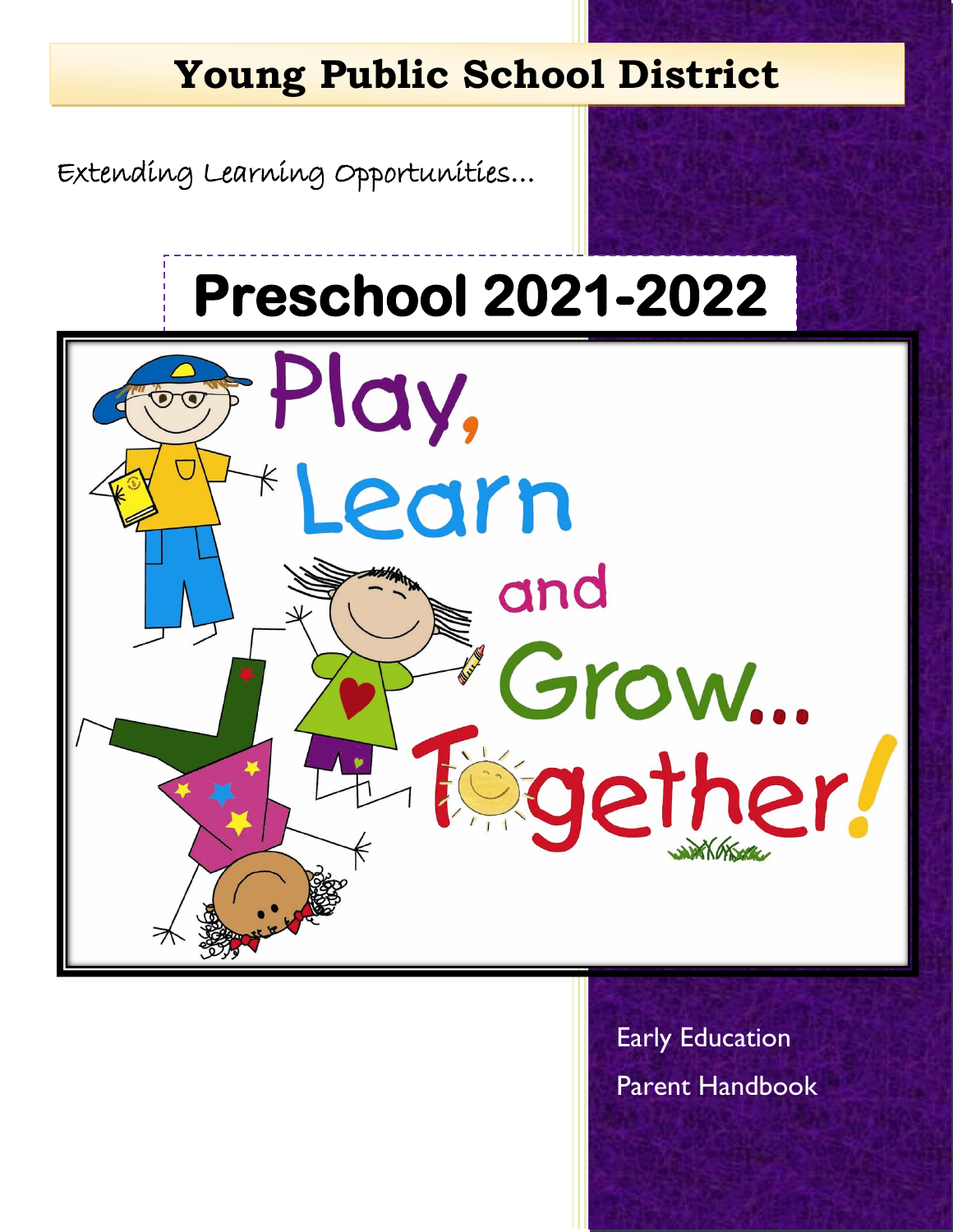# **Young Public School District**

Extending Learning Opportunities…

i

# **Preschool 2021-2022**



Early Education Parent Handbook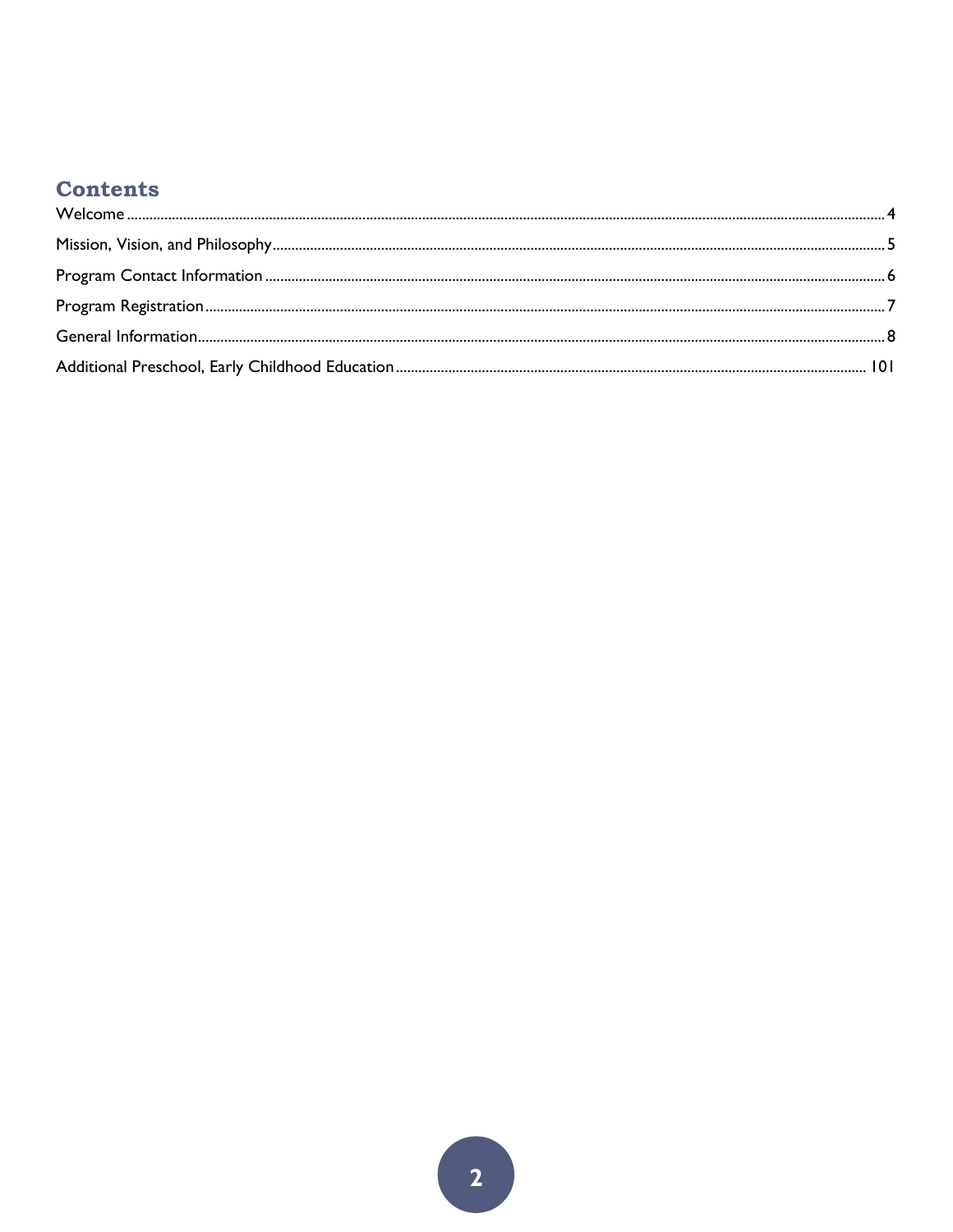# **Contents**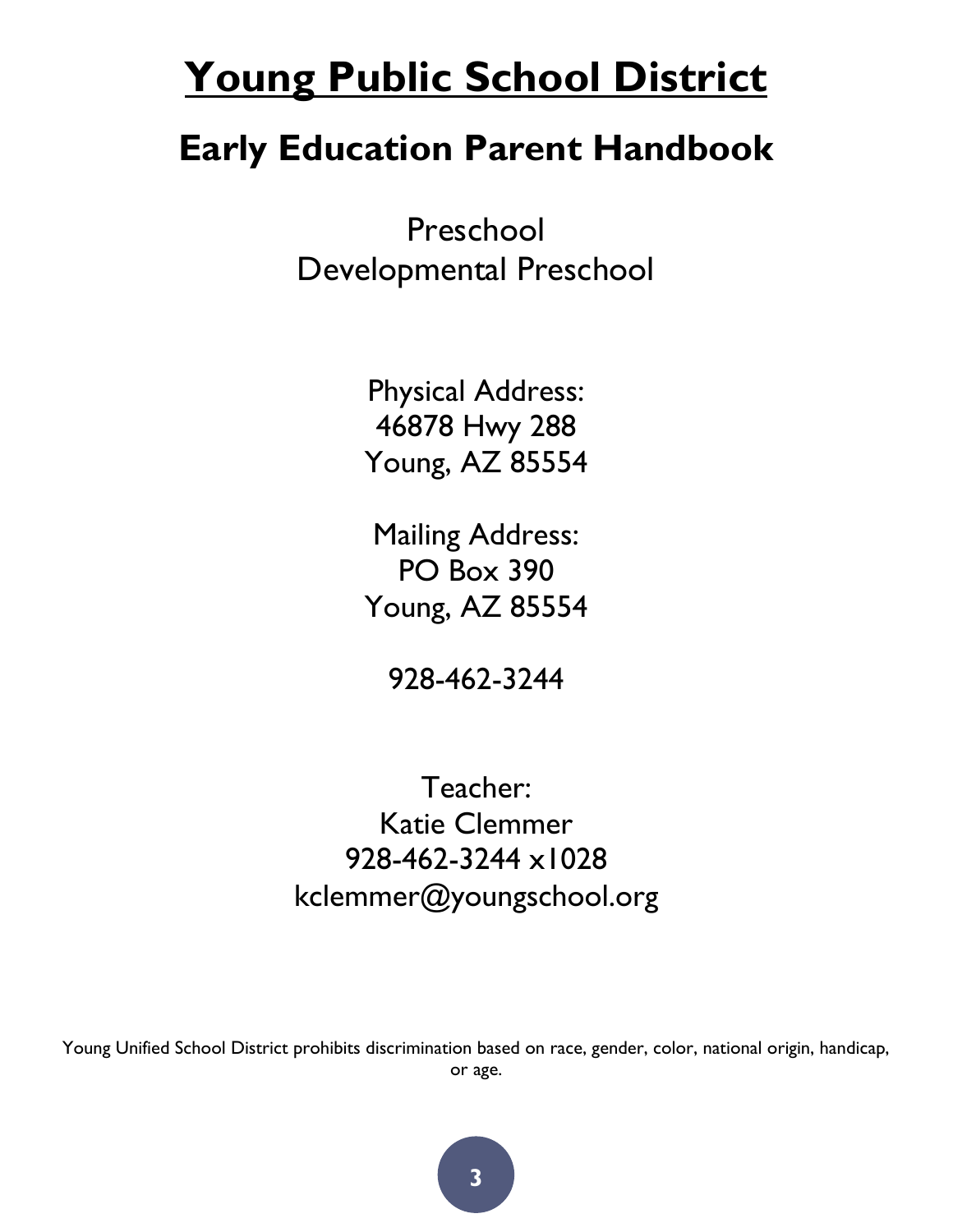# **Young Public School District**

# **Early Education Parent Handbook**

Preschool Developmental Preschool

> Physical Address: 46878 Hwy 288 Young, AZ 85554

> Mailing Address: PO Box 390 Young, AZ 85554

> > 928-462-3244

Teacher: Katie Clemmer 928-462-3244 x1028 kclemmer@youngschool.org

Young Unified School District prohibits discrimination based on race, gender, color, national origin, handicap, or age.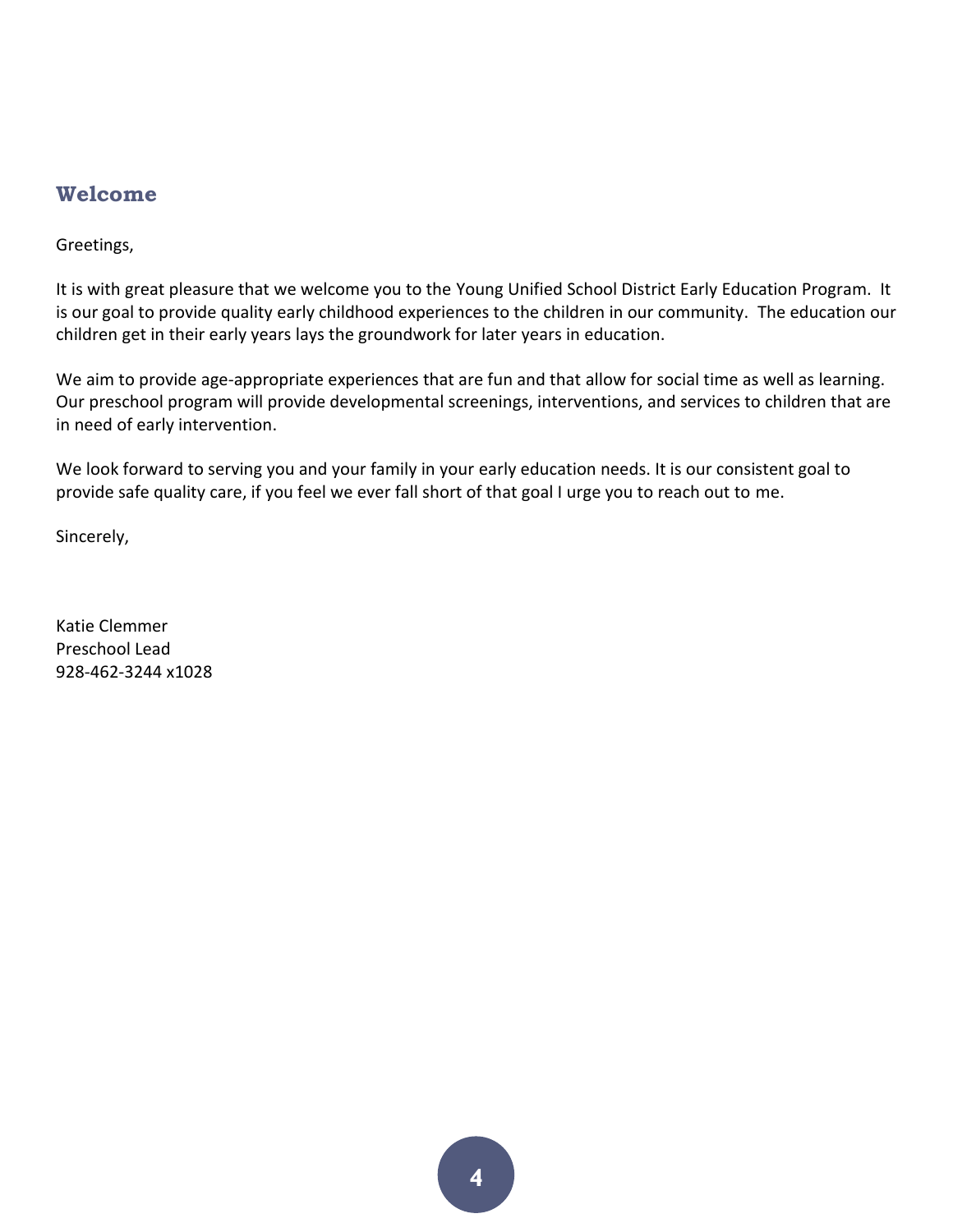## <span id="page-3-0"></span>**Welcome**

Greetings,

It is with great pleasure that we welcome you to the Young Unified School District Early Education Program. It is our goal to provide quality early childhood experiences to the children in our community. The education our children get in their early years lays the groundwork for later years in education.

We aim to provide age-appropriate experiences that are fun and that allow for social time as well as learning. Our preschool program will provide developmental screenings, interventions, and services to children that are in need of early intervention.

We look forward to serving you and your family in your early education needs. It is our consistent goal to provide safe quality care, if you feel we ever fall short of that goal I urge you to reach out to me.

Sincerely,

Katie Clemmer Preschool Lead 928-462-3244 x1028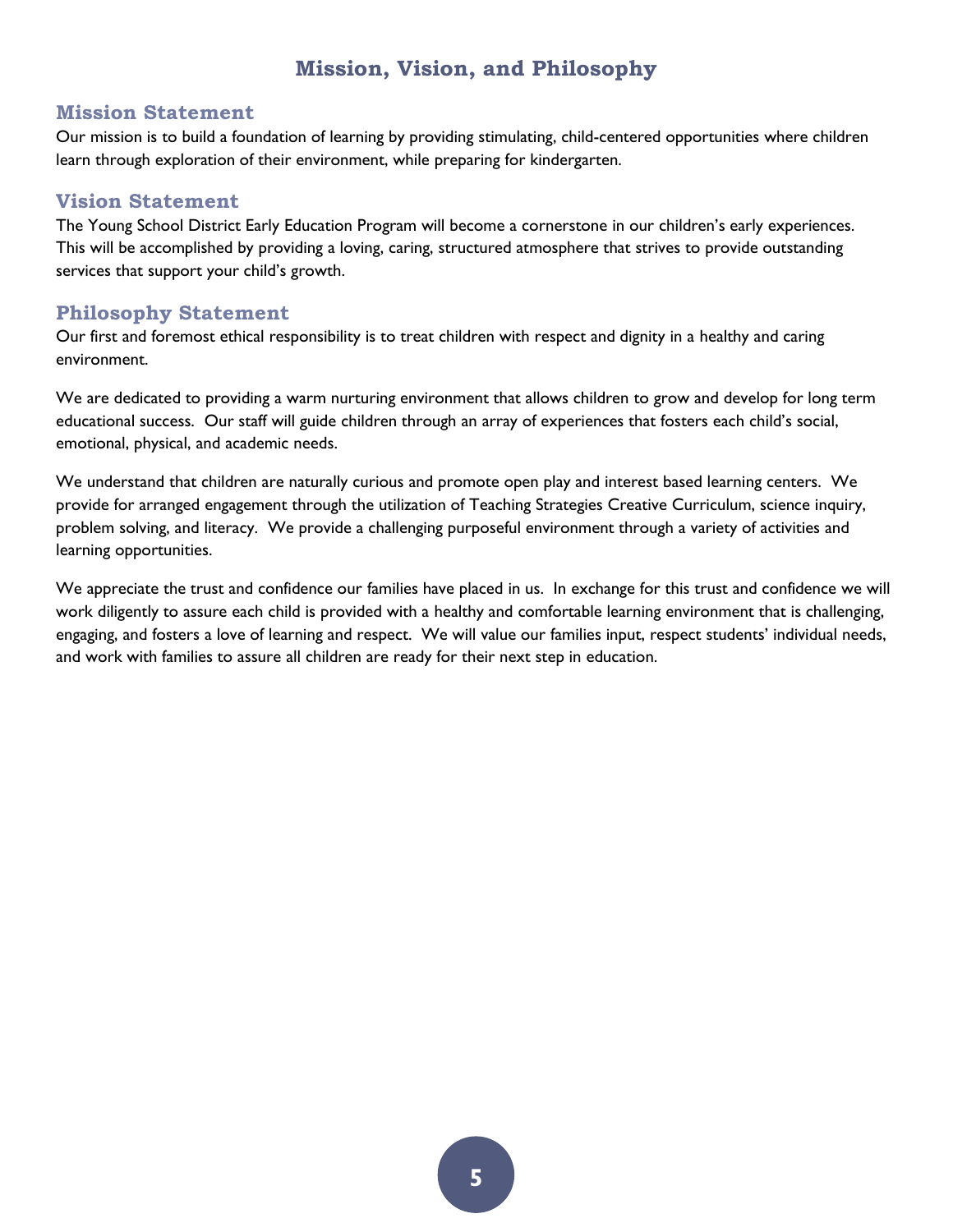## **Mission, Vision, and Philosophy**

#### <span id="page-4-0"></span>**Mission Statement**

Our mission is to build a foundation of learning by providing stimulating, child-centered opportunities where children learn through exploration of their environment, while preparing for kindergarten.

#### **Vision Statement**

The Young School District Early Education Program will become a cornerstone in our children's early experiences. This will be accomplished by providing a loving, caring, structured atmosphere that strives to provide outstanding services that support your child's growth.

#### **Philosophy Statement**

Our first and foremost ethical responsibility is to treat children with respect and dignity in a healthy and caring environment.

We are dedicated to providing a warm nurturing environment that allows children to grow and develop for long term educational success. Our staff will guide children through an array of experiences that fosters each child's social, emotional, physical, and academic needs.

We understand that children are naturally curious and promote open play and interest based learning centers. We provide for arranged engagement through the utilization of Teaching Strategies Creative Curriculum, science inquiry, problem solving, and literacy. We provide a challenging purposeful environment through a variety of activities and learning opportunities.

We appreciate the trust and confidence our families have placed in us. In exchange for this trust and confidence we will work diligently to assure each child is provided with a healthy and comfortable learning environment that is challenging, engaging, and fosters a love of learning and respect. We will value our families input, respect students' individual needs, and work with families to assure all children are ready for their next step in education.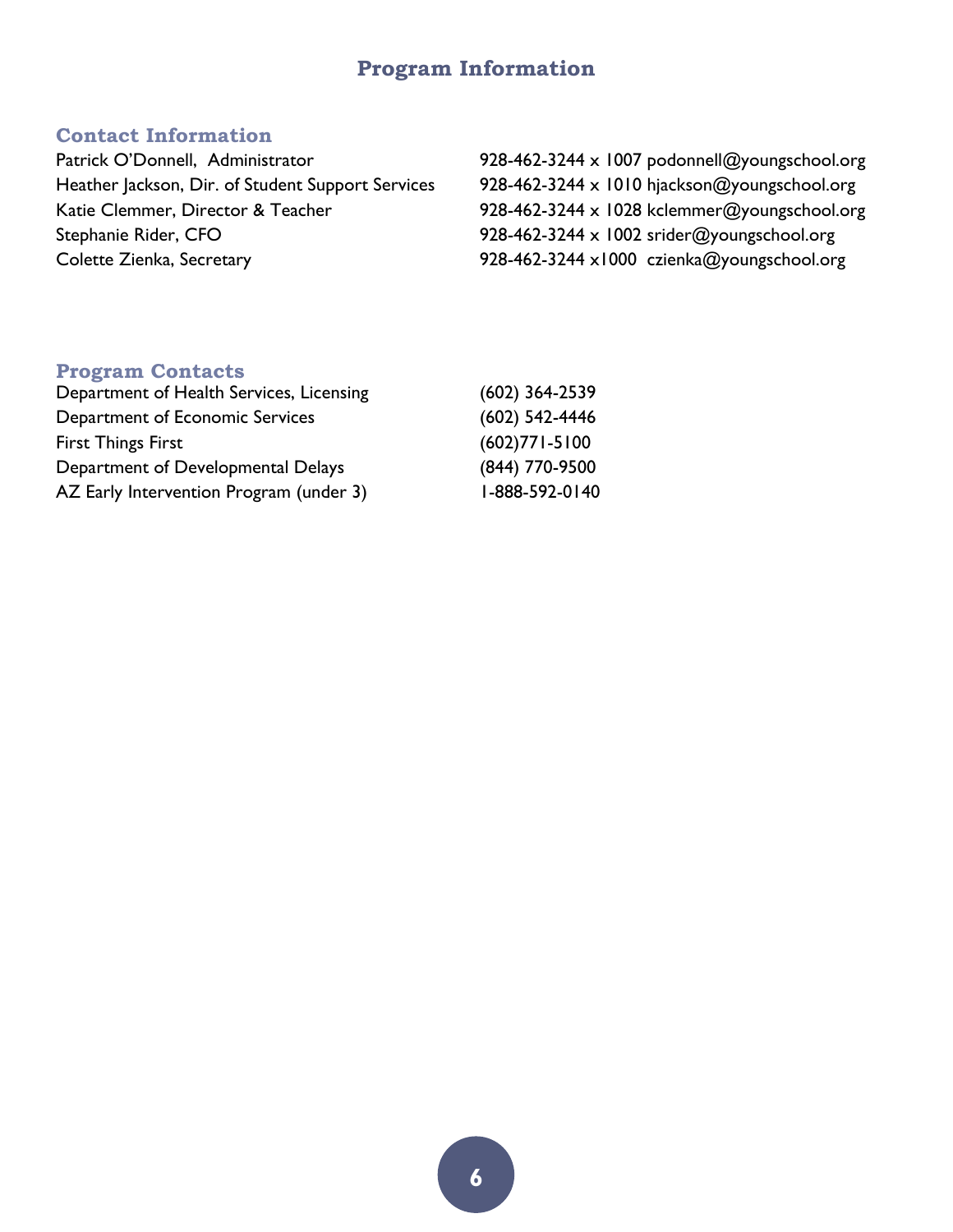# **Program Information**

### <span id="page-5-0"></span>**Contact Information**

| Patrick O'Donnell, Administrator                  | 928-462-3244 x 1007 podonnell@youngschool.org |
|---------------------------------------------------|-----------------------------------------------|
| Heather Jackson, Dir. of Student Support Services | 928-462-3244 x 1010 hjackson@youngschool.org  |
| Katie Clemmer, Director & Teacher                 | 928-462-3244 x 1028 kclemmer@youngschool.org  |
| Stephanie Rider, CFO                              | 928-462-3244 x 1002 srider@youngschool.org    |
| Colette Zienka, Secretary                         | 928-462-3244 x1000 czienka@youngschool.org    |

# **Program Contacts**

| Department of Health Services, Licensing | $(602)$ 364-2539  |
|------------------------------------------|-------------------|
| Department of Economic Services          | $(602)$ 542-4446  |
| <b>First Things First</b>                | $(602)771 - 5100$ |
| Department of Developmental Delays       | (844) 770-9500    |
| AZ Early Intervention Program (under 3)  | 1-888-592-0140    |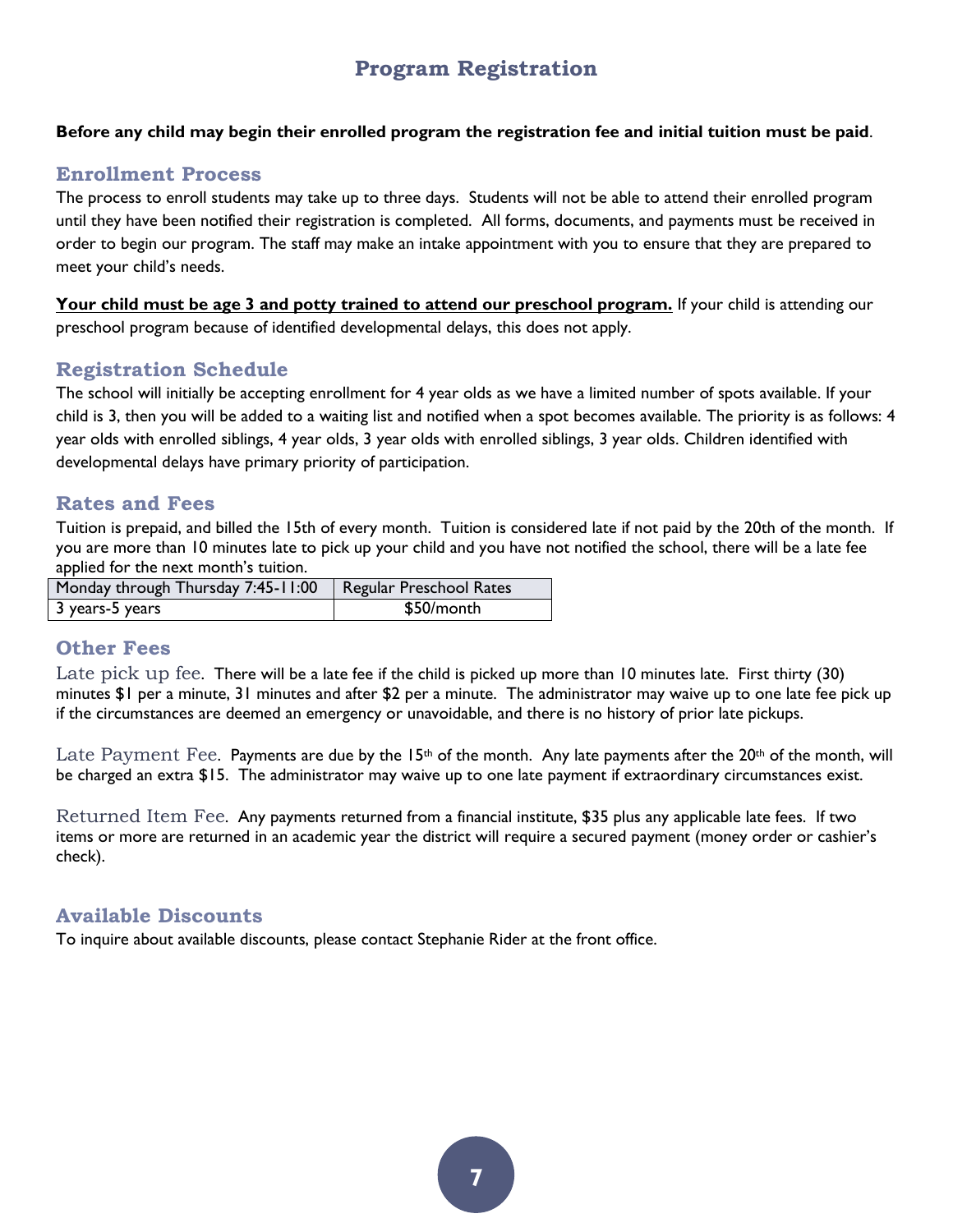# **Program Registration**

#### <span id="page-6-0"></span>**Before any child may begin their enrolled program the registration fee and initial tuition must be paid**.

#### **Enrollment Process**

The process to enroll students may take up to three days. Students will not be able to attend their enrolled program until they have been notified their registration is completed. All forms, documents, and payments must be received in order to begin our program. The staff may make an intake appointment with you to ensure that they are prepared to meet your child's needs.

Your child must be age 3 and potty trained to attend our preschool program. If your child is attending our preschool program because of identified developmental delays, this does not apply.

#### **Registration Schedule**

The school will initially be accepting enrollment for 4 year olds as we have a limited number of spots available. If your child is 3, then you will be added to a waiting list and notified when a spot becomes available. The priority is as follows: 4 year olds with enrolled siblings, 4 year olds, 3 year olds with enrolled siblings, 3 year olds. Children identified with developmental delays have primary priority of participation.

#### **Rates and Fees**

Tuition is prepaid, and billed the 15th of every month. Tuition is considered late if not paid by the 20th of the month. If you are more than 10 minutes late to pick up your child and you have not notified the school, there will be a late fee applied for the next month's tuition.

| Monday through Thursday 7:45-11:00   Regular Preschool Rates |            |
|--------------------------------------------------------------|------------|
| 3 years-5 years                                              | \$50/month |

#### **Other Fees**

Late pick up fee. There will be a late fee if the child is picked up more than 10 minutes late. First thirty (30) minutes \$1 per a minute, 31 minutes and after \$2 per a minute. The administrator may waive up to one late fee pick up if the circumstances are deemed an emergency or unavoidable, and there is no history of prior late pickups.

Late Payment Fee. Payments are due by the 15<sup>th</sup> of the month. Any late payments after the 20<sup>th</sup> of the month, will be charged an extra \$15. The administrator may waive up to one late payment if extraordinary circumstances exist.

Returned Item Fee. Any payments returned from a financial institute, \$35 plus any applicable late fees. If two items or more are returned in an academic year the district will require a secured payment (money order or cashier's check).

#### **Available Discounts**

To inquire about available discounts, please contact Stephanie Rider at the front office.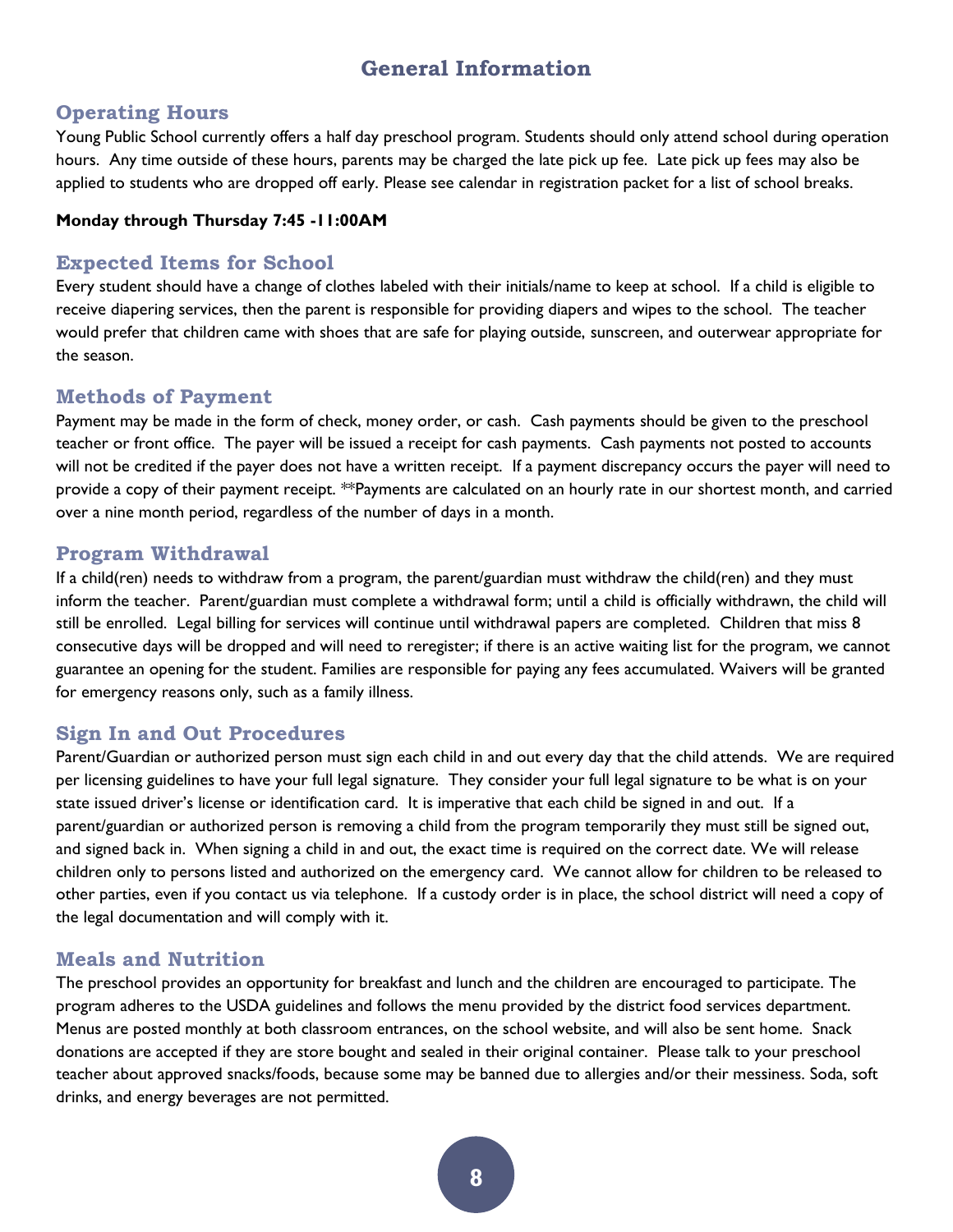## **General Information**

#### <span id="page-7-0"></span>**Operating Hours**

Young Public School currently offers a half day preschool program. Students should only attend school during operation hours. Any time outside of these hours, parents may be charged the late pick up fee. Late pick up fees may also be applied to students who are dropped off early. Please see calendar in registration packet for a list of school breaks.

#### **Monday through Thursday 7:45 -11:00AM**

#### **Expected Items for School**

Every student should have a change of clothes labeled with their initials/name to keep at school. If a child is eligible to receive diapering services, then the parent is responsible for providing diapers and wipes to the school. The teacher would prefer that children came with shoes that are safe for playing outside, sunscreen, and outerwear appropriate for the season.

#### **Methods of Payment**

Payment may be made in the form of check, money order, or cash. Cash payments should be given to the preschool teacher or front office. The payer will be issued a receipt for cash payments. Cash payments not posted to accounts will not be credited if the payer does not have a written receipt. If a payment discrepancy occurs the payer will need to provide a copy of their payment receipt. \*\*Payments are calculated on an hourly rate in our shortest month, and carried over a nine month period, regardless of the number of days in a month.

#### **Program Withdrawal**

If a child(ren) needs to withdraw from a program, the parent/guardian must withdraw the child(ren) and they must inform the teacher. Parent/guardian must complete a withdrawal form; until a child is officially withdrawn, the child will still be enrolled. Legal billing for services will continue until withdrawal papers are completed. Children that miss 8 consecutive days will be dropped and will need to reregister; if there is an active waiting list for the program, we cannot guarantee an opening for the student. Families are responsible for paying any fees accumulated. Waivers will be granted for emergency reasons only, such as a family illness.

#### **Sign In and Out Procedures**

Parent/Guardian or authorized person must sign each child in and out every day that the child attends. We are required per licensing guidelines to have your full legal signature. They consider your full legal signature to be what is on your state issued driver's license or identification card. It is imperative that each child be signed in and out. If a parent/guardian or authorized person is removing a child from the program temporarily they must still be signed out, and signed back in. When signing a child in and out, the exact time is required on the correct date. We will release children only to persons listed and authorized on the emergency card. We cannot allow for children to be released to other parties, even if you contact us via telephone. If a custody order is in place, the school district will need a copy of the legal documentation and will comply with it.

#### **Meals and Nutrition**

The preschool provides an opportunity for breakfast and lunch and the children are encouraged to participate. The program adheres to the USDA guidelines and follows the menu provided by the district food services department. Menus are posted monthly at both classroom entrances, on the school website, and will also be sent home. Snack donations are accepted if they are store bought and sealed in their original container. Please talk to your preschool teacher about approved snacks/foods, because some may be banned due to allergies and/or their messiness. Soda, soft drinks, and energy beverages are not permitted.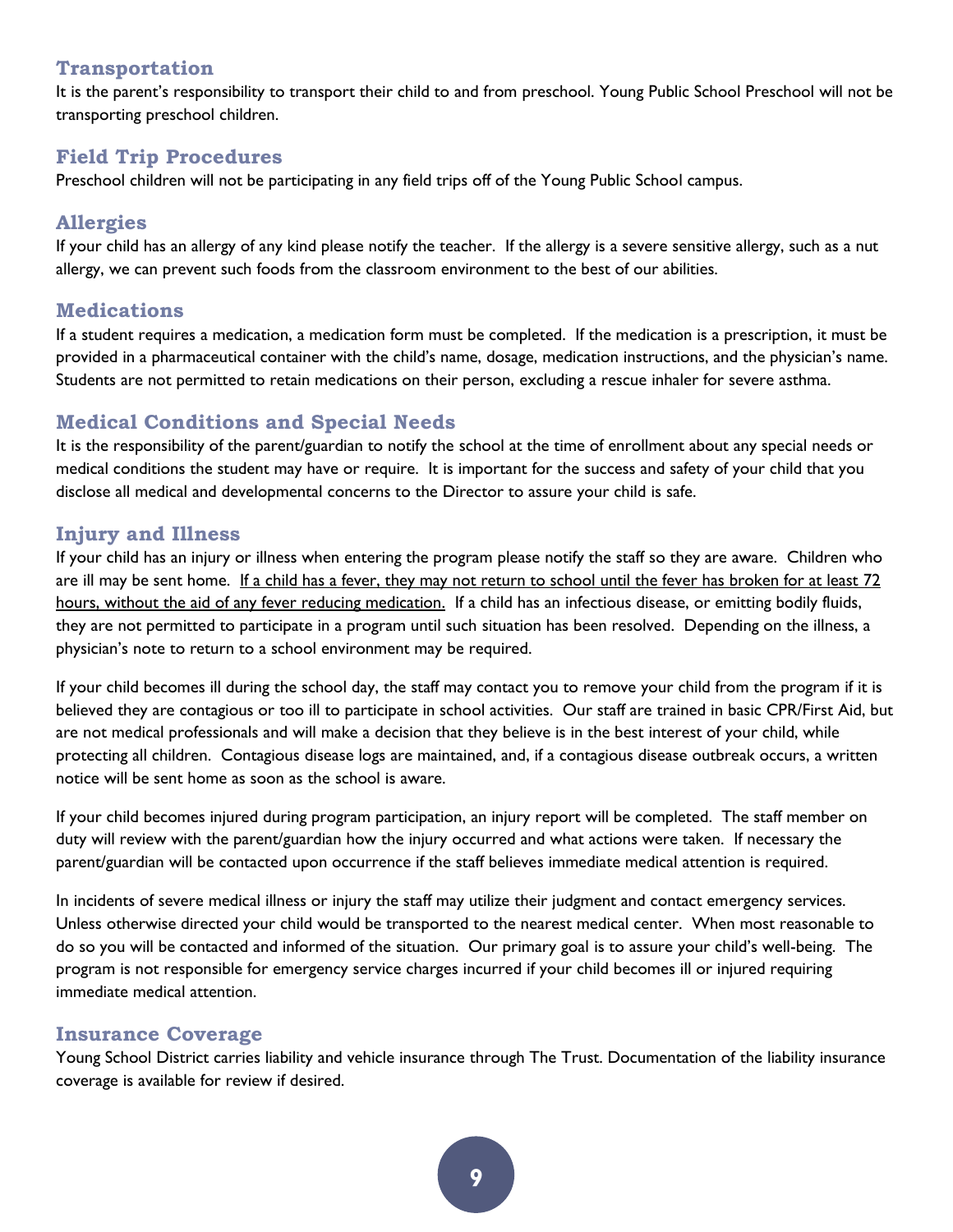#### **Transportation**

It is the parent's responsibility to transport their child to and from preschool. Young Public School Preschool will not be transporting preschool children.

#### **Field Trip Procedures**

Preschool children will not be participating in any field trips off of the Young Public School campus.

#### **Allergies**

If your child has an allergy of any kind please notify the teacher. If the allergy is a severe sensitive allergy, such as a nut allergy, we can prevent such foods from the classroom environment to the best of our abilities.

#### **Medications**

If a student requires a medication, a medication form must be completed. If the medication is a prescription, it must be provided in a pharmaceutical container with the child's name, dosage, medication instructions, and the physician's name. Students are not permitted to retain medications on their person, excluding a rescue inhaler for severe asthma.

#### **Medical Conditions and Special Needs**

It is the responsibility of the parent/guardian to notify the school at the time of enrollment about any special needs or medical conditions the student may have or require. It is important for the success and safety of your child that you disclose all medical and developmental concerns to the Director to assure your child is safe.

#### **Injury and Illness**

If your child has an injury or illness when entering the program please notify the staff so they are aware. Children who are ill may be sent home. If a child has a fever, they may not return to school until the fever has broken for at least 72 hours, without the aid of any fever reducing medication. If a child has an infectious disease, or emitting bodily fluids, they are not permitted to participate in a program until such situation has been resolved. Depending on the illness, a physician's note to return to a school environment may be required.

If your child becomes ill during the school day, the staff may contact you to remove your child from the program if it is believed they are contagious or too ill to participate in school activities. Our staff are trained in basic CPR/First Aid, but are not medical professionals and will make a decision that they believe is in the best interest of your child, while protecting all children. Contagious disease logs are maintained, and, if a contagious disease outbreak occurs, a written notice will be sent home as soon as the school is aware.

If your child becomes injured during program participation, an injury report will be completed. The staff member on duty will review with the parent/guardian how the injury occurred and what actions were taken. If necessary the parent/guardian will be contacted upon occurrence if the staff believes immediate medical attention is required.

In incidents of severe medical illness or injury the staff may utilize their judgment and contact emergency services. Unless otherwise directed your child would be transported to the nearest medical center. When most reasonable to do so you will be contacted and informed of the situation. Our primary goal is to assure your child's well-being. The program is not responsible for emergency service charges incurred if your child becomes ill or injured requiring immediate medical attention.

#### **Insurance Coverage**

Young School District carries liability and vehicle insurance through The Trust. Documentation of the liability insurance coverage is available for review if desired.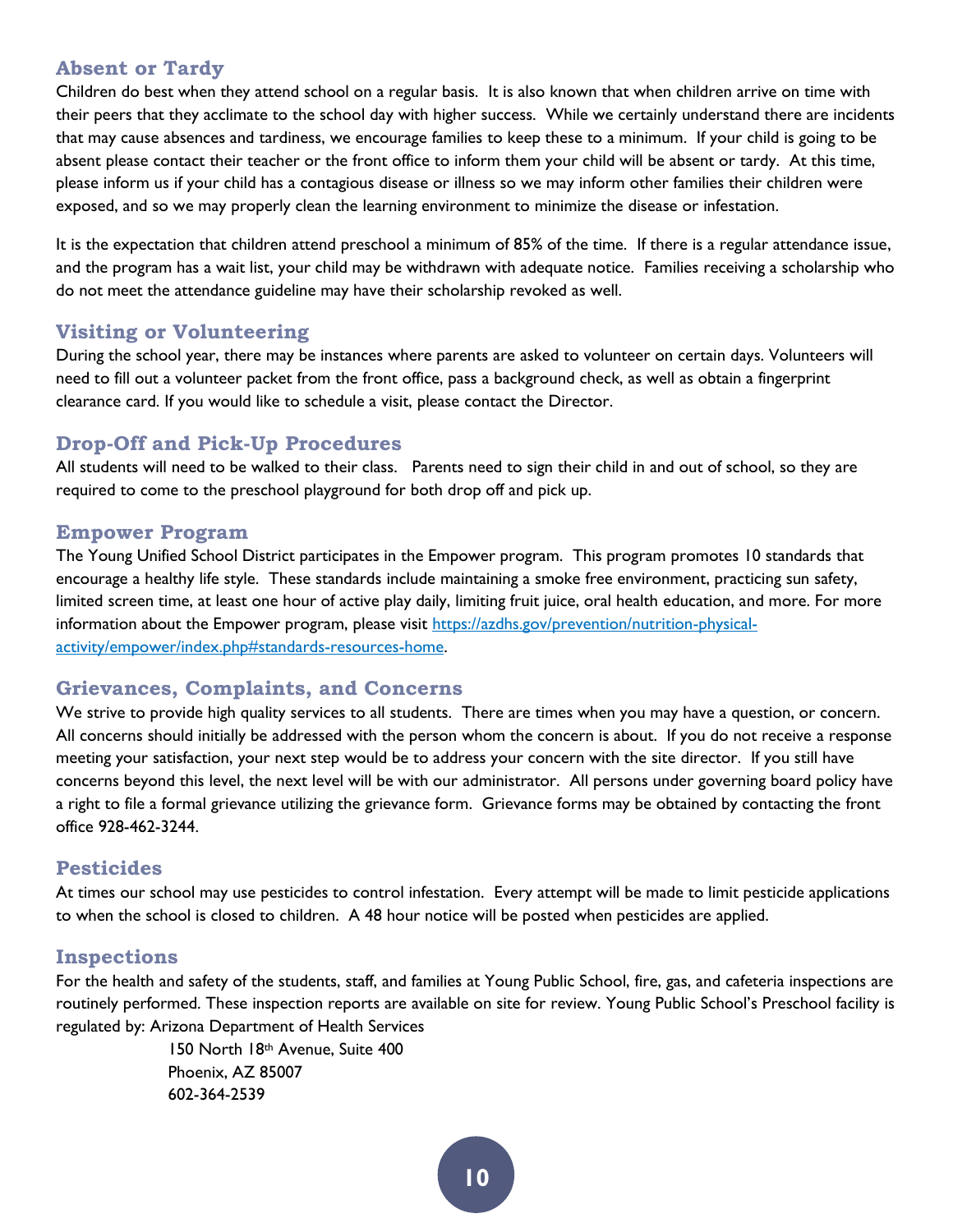#### **Absent or Tardy**

Children do best when they attend school on a regular basis. It is also known that when children arrive on time with their peers that they acclimate to the school day with higher success. While we certainly understand there are incidents that may cause absences and tardiness, we encourage families to keep these to a minimum. If your child is going to be absent please contact their teacher or the front office to inform them your child will be absent or tardy. At this time, please inform us if your child has a contagious disease or illness so we may inform other families their children were exposed, and so we may properly clean the learning environment to minimize the disease or infestation.

It is the expectation that children attend preschool a minimum of 85% of the time. If there is a regular attendance issue, and the program has a wait list, your child may be withdrawn with adequate notice. Families receiving a scholarship who do not meet the attendance guideline may have their scholarship revoked as well.

#### **Visiting or Volunteering**

During the school year, there may be instances where parents are asked to volunteer on certain days. Volunteers will need to fill out a volunteer packet from the front office, pass a background check, as well as obtain a fingerprint clearance card. If you would like to schedule a visit, please contact the Director.

#### **Drop-Off and Pick-Up Procedures**

All students will need to be walked to their class. Parents need to sign their child in and out of school, so they are required to come to the preschool playground for both drop off and pick up.

#### **Empower Program**

The Young Unified School District participates in the Empower program. This program promotes 10 standards that encourage a healthy life style. These standards include maintaining a smoke free environment, practicing sun safety, limited screen time, at least one hour of active play daily, limiting fruit juice, oral health education, and more. For more information about the Empower program, please visit [https://azdhs.gov/prevention/nutrition-physical](https://azdhs.gov/prevention/nutrition-physical-activity/empower/index.php%23standards-resources-home)[activity/empower/index.php#standards-resources-home.](https://azdhs.gov/prevention/nutrition-physical-activity/empower/index.php%23standards-resources-home)

#### **Grievances, Complaints, and Concerns**

We strive to provide high quality services to all students. There are times when you may have a question, or concern. All concerns should initially be addressed with the person whom the concern is about. If you do not receive a response meeting your satisfaction, your next step would be to address your concern with the site director. If you still have concerns beyond this level, the next level will be with our administrator. All persons under governing board policy have a right to file a formal grievance utilizing the grievance form. Grievance forms may be obtained by contacting the front office 928-462-3244.

#### **Pesticides**

At times our school may use pesticides to control infestation. Every attempt will be made to limit pesticide applications to when the school is closed to children. A 48 hour notice will be posted when pesticides are applied.

#### <span id="page-9-0"></span>**Inspections**

For the health and safety of the students, staff, and families at Young Public School, fire, gas, and cafeteria inspections are routinely performed. These inspection reports are available on site for review. Young Public School's Preschool facility is regulated by: Arizona Department of Health Services

> 150 North 18th Avenue, Suite 400 Phoenix, AZ 85007 602-364-2539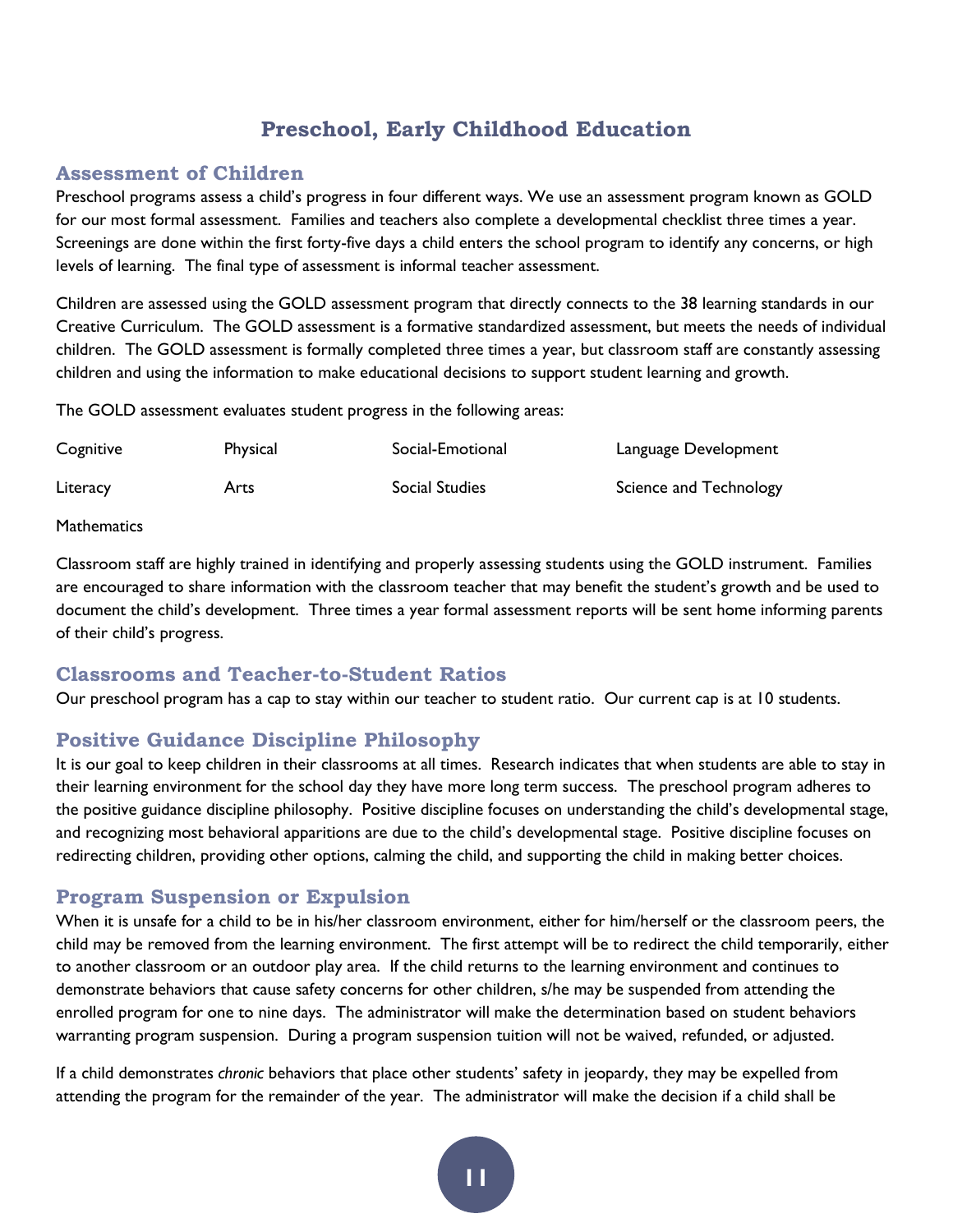# **Preschool, Early Childhood Education**

#### **Assessment of Children**

Preschool programs assess a child's progress in four different ways. We use an assessment program known as GOLD for our most formal assessment. Families and teachers also complete a developmental checklist three times a year. Screenings are done within the first forty-five days a child enters the school program to identify any concerns, or high levels of learning. The final type of assessment is informal teacher assessment.

Children are assessed using the GOLD assessment program that directly connects to the 38 learning standards in our Creative Curriculum. The GOLD assessment is a formative standardized assessment, but meets the needs of individual children. The GOLD assessment is formally completed three times a year, but classroom staff are constantly assessing children and using the information to make educational decisions to support student learning and growth.

The GOLD assessment evaluates student progress in the following areas:

| Cognitive | Physical | Social-Emotional | Language Development   |
|-----------|----------|------------------|------------------------|
| Literacy  | Arts     | Social Studies   | Science and Technology |

#### **Mathematics**

Classroom staff are highly trained in identifying and properly assessing students using the GOLD instrument. Families are encouraged to share information with the classroom teacher that may benefit the student's growth and be used to document the child's development. Three times a year formal assessment reports will be sent home informing parents of their child's progress.

#### **Classrooms and Teacher-to-Student Ratios**

Our preschool program has a cap to stay within our teacher to student ratio. Our current cap is at 10 students.

#### **Positive Guidance Discipline Philosophy**

It is our goal to keep children in their classrooms at all times. Research indicates that when students are able to stay in their learning environment for the school day they have more long term success. The preschool program adheres to the positive guidance discipline philosophy. Positive discipline focuses on understanding the child's developmental stage, and recognizing most behavioral apparitions are due to the child's developmental stage. Positive discipline focuses on redirecting children, providing other options, calming the child, and supporting the child in making better choices.

#### **Program Suspension or Expulsion**

When it is unsafe for a child to be in his/her classroom environment, either for him/herself or the classroom peers, the child may be removed from the learning environment. The first attempt will be to redirect the child temporarily, either to another classroom or an outdoor play area. If the child returns to the learning environment and continues to demonstrate behaviors that cause safety concerns for other children, s/he may be suspended from attending the enrolled program for one to nine days. The administrator will make the determination based on student behaviors warranting program suspension. During a program suspension tuition will not be waived, refunded, or adjusted.

If a child demonstrates *chronic* behaviors that place other students' safety in jeopardy, they may be expelled from attending the program for the remainder of the year. The administrator will make the decision if a child shall be